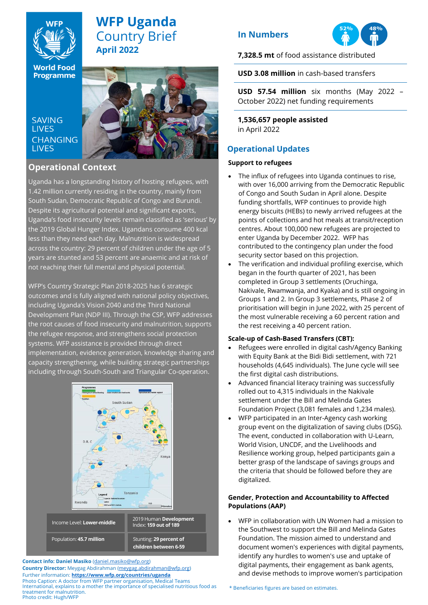

# **WFP Uganda** Country Brief **April 2022**

**World Food Programme** 

**SAVING LIVES CHANGING LIVES** 



# **Operational Context Operational Context**

Uganda has a longstanding history of hosting refugees, Uganda has a longstanding history of hosting refugees, with 1.42 million currently residing in the country, mainly from South Sudan, Democratic Republic of Congo and Burundi. Despite its agricultural potential and significant exports, Uganda's food insecurity levels remain classified as 'serious' by the 2019 Global Hunger Index. Ugandans consume 400 kcal less than they need each day. Malnutrition is widespread across the country: 29 percent of children under the age of 5 years are stunted and 53 percent are anaemic and at risk of  $\,$ not reaching their full mental and physical potential.  $\qquad \qquad$ 

outcomes and is fully aligned with national policy objectives, including Uganda's Vision 2040 and the Third National Development Plan (NDP III). Through the CSP, WFP addresses the root causes of food insecurity and malnutrition, supports the refugee response, and strengthens social protection systems. WFP assistance is provided through direct implementation, evidence generation, knowledge sharing and capacity strengthening, while building strategic partnerships including through South-South and Triangular Co-operation. WFP's Country Strategic Plan 2018-2025 has 6 strategic



**Contact info: Daniel Masiko** [\(daniel.masiko@wfp.org\)](mailto:daniel.masiko@wfp.org)

**Country Director:** Meygag Abdirahman [\(meygag.abdirahman@wfp.org\)](mailto:meygag.abdirahman@wfp.org) Further information: **<https://www.wfp.org/countries/uganda>** Photo Caption: A doctor from WFP partner organisation, Medical Teams International, explains to a mother the importance of specialised nutritious food as treatment for malnutrition. Photo credit: Hugh/WFP

## **In Numbers**



**7,328.5 mt** of food assistance distributed

**USD 3.08 million** in cash-based transfers

**USD 57.54 million** six months (May 2022 – October 2022) net funding requirements

**1,536,657 people assisted**  in April 2022

## **Operational Updates**

## **Support to refugees**

- The influx of refugees into Uganda continues to rise, with over 16,000 arriving from the Democratic Republic of Congo and South Sudan in April alone. Despite funding shortfalls, WFP continues to provide high energy biscuits (HEBs) to newly arrived refugees at the points of collections and hot meals at transit/reception centres. About 100,000 new refugees are projected to enter Uganda by December 2022. WFP has contributed to the contingency plan under the food security sector based on this projection.
- The verification and individual profiling exercise, which began in the fourth quarter of 2021, has been completed in Group 3 settlements (Oruchinga, Nakivale, Rwamwanja, and Kyaka) and is still ongoing in Groups 1 and 2. In Group 3 settlements, Phase 2 of prioritisation will begin in June 2022, with 25 percent of the most vulnerable receiving a 60 percent ration and the rest receiving a 40 percent ration.

### **Scale-up of Cash-Based Transfers (CBT):**

- Refugees were enrolled in digital cash/Agency Banking with Equity Bank at the Bidi Bidi settlement, with 721 households (4,645 individuals). The June cycle will see the first digital cash distributions.
- Advanced financial literacy training was successfully rolled out to 4,315 individuals in the Nakivale settlement under the Bill and Melinda Gates Foundation Project (3,081 females and 1,234 males).
- WFP participated in an Inter-Agency cash working group event on the digitalization of saving clubs (DSG). The event, conducted in collaboration with U-Learn, World Vision, UNCDF, and the Livelihoods and Resilience working group, helped participants gain a better grasp of the landscape of savings groups and the criteria that should be followed before they are digitalized.

## **Gender, Protection and Accountability to Affected Populations (AAP)**

• WFP in collaboration with UN Women had a mission to the Southwest to support the Bill and Melinda Gates Foundation. The mission aimed to understand and document women's experiences with digital payments, identify any hurdles to women's use and uptake of digital payments, their engagement as bank agents, and devise methods to improve women's participation

\* Beneficiaries figures are based on estimates.